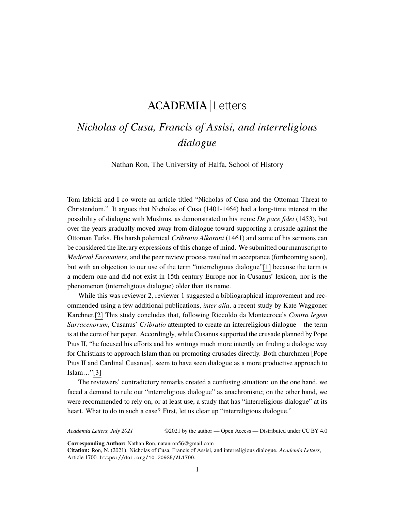## ACADEMIA Letters

## *Nicholas of Cusa, Francis of Assisi, and interreligious dialogue*

Nathan Ron, The University of Haifa, School of History

Tom Izbicki and I co-wrote an article titled "Nicholas of Cusa and the Ottoman Threat to Christendom." It argues that Nicholas of Cusa (1401-1464) had a long-time interest in the possibility of dialogue with Muslims, as demonstrated in his irenic *De pace fidei* (1453), but over the years gradually moved away from dialogue toward supporting a crusade against the Ottoman Turks. His harsh polemical *Cribratio Alkorani* (1461) and some of his sermons can be considered the literary expressions of this change of mind. We submitted our manuscript to *Medieval Encounters,* and the peer review process resulted in acceptance (forthcoming soon), but with an objection to our use of the term "interreligious dialogue"[1] because the term is a modern one and did not exist in 15th century Europe nor in Cusanus' lexicon, nor is the phenomenon (interreligious dialogue) older than its name.

While this was reviewer 2, reviewer 1 suggested a bibliographical improvement and recommended using a few additional publications, *inter alia*, a recent study by Kate Waggoner Karchner.[2] This study concludes that, following Riccoldo da Montecroce's *Contra legem Sarracenorum*, Cusanus' *Cribratio* attempted to create an interreligious dialogue – the term is at the core of her paper. Accordingly, while Cusanus supported the crusade planned by Pope Pius II, "he focused his efforts and his writings much more intently on finding a dialogic way for Christians to approach Islam than on promoting crusades directly. Both churchmen [Pope Pius II and Cardinal Cusanus], seem to have seen dialogue as a more productive approach to Islam…"[3]

The reviewers' contradictory remarks created a confusing situation: on the one hand, we faced a demand to rule out "interreligious dialogue" as anachronistic; on the other hand, we were recommended to rely on, or at least use, a study that has "interreligious dialogue" at its heart. What to do in such a case? First, let us clear up "interreligious dialogue."

*Academia Letters, July 2021* ©2021 by the author — Open Access — Distributed under CC BY 4.0

**Corresponding Author:** Nathan Ron, natanron56@gmail.com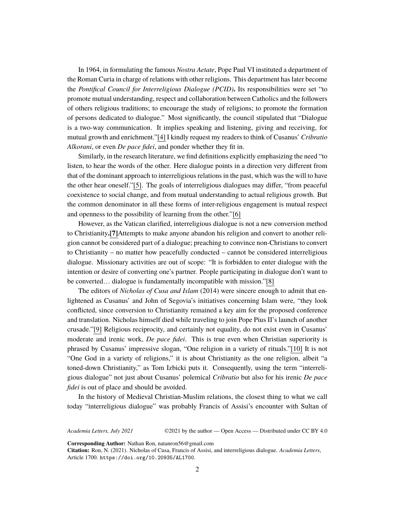In 1964, in formulating the famous *Nostra Aetate*, Pope Paul VI instituted a department of the Roman Curia in charge of relations with other religions. This department has later become the *Pontifical Council for Interreligious Dialogue (PCID)***.** Its responsibilities were set "to promote mutual understanding, respect and collaboration between Catholics and the followers of others religious traditions; to encourage the study of religions; to promote the formation of persons dedicated to dialogue." Most significantly, the council stipulated that "Dialogue is a two-way communication. It implies speaking and listening, giving and receiving, for mutual growth and enrichment."[4] I kindly request my readers to think of Cusanus' *Cribratio Alkorani*, or even *De pace fidei*, and ponder whether they fit in.

Similarly, in the research literature, we find definitions explicitly emphasizing the need "to listen, to hear the words of the other. Here dialogue points in a direction very different from that of the dominant approach to interreligious relations in the past, which was the will to have the other hear oneself."[5]. The goals of interreligious dialogues may differ, "from peaceful coexistence to social change, and from mutual understanding to actual religious growth. But the common denominator in all these forms of inter-religious engagement is mutual respect and openness to the possibility of learning from the other."[6]

However, as the Vatican clarified, interreligious dialogue is not a new conversion method to Christianity**.[7]**Attempts to make anyone abandon his religion and convert to another religion cannot be considered part of a dialogue; preaching to convince non-Christians to convert to Christianity – no matter how peacefully conducted – cannot be considered interreligious dialogue. Missionary activities are out of scope: "It is forbidden to enter dialogue with the intention or desire of converting one's partner. People participating in dialogue don't want to be converted… dialogue is fundamentally incompatible with mission."[8]

The editors of *Nicholas of Cusa and Islam* (2014) were sincere enough to admit that enlightened as Cusanus' and John of Segovia's initiatives concerning Islam were, "they look conflicted, since conversion to Christianity remained a key aim for the proposed conference and translation. Nicholas himself died while traveling to join Pope Pius II's launch of another crusade."[9] Religious reciprocity, and certainly not equality, do not exist even in Cusanus' moderate and irenic work, *De pace fidei*. This is true even when Christian superiority is phrased by Cusanus' impressive slogan, "One religion in a variety of rituals."[10] It is not "One God in a variety of religions," it is about Christianity as the one religion, albeit "a toned-down Christianity," as Tom Izbicki puts it. Consequently, using the term "interreligious dialogue" not just about Cusanus' polemical *Cribratio* but also for his irenic *De pace fidei* is out of place and should be avoided.

In the history of Medieval Christian-Muslim relations, the closest thing to what we call today "interreligious dialogue" was probably Francis of Assisi's encounter with Sultan of

*Academia Letters, July 2021* ©2021 by the author — Open Access — Distributed under CC BY 4.0

**Corresponding Author:** Nathan Ron, natanron56@gmail.com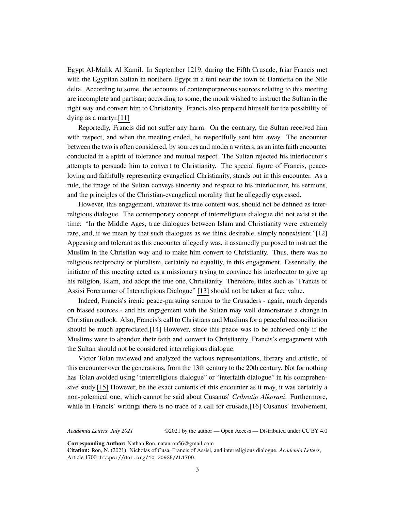Egypt Al-Malik Al Kamil. In September 1219, during the Fifth Crusade, friar Francis met with the Egyptian Sultan in northern Egypt in a tent near the town of Damietta on the Nile delta. According to some, the accounts of contemporaneous sources relating to this meeting are incomplete and partisan; according to some, the monk wished to instruct the Sultan in the right way and convert him to Christianity. Francis also prepared himself for the possibility of dying as a martyr.[11]

Reportedly, Francis did not suffer any harm. On the contrary, the Sultan received him with respect, and when the meeting ended, he respectfully sent him away. The encounter between the two is often considered, by sources and modern writers, as an interfaith encounter conducted in a spirit of tolerance and mutual respect. The Sultan rejected his interlocutor's attempts to persuade him to convert to Christianity. The special figure of Francis, peaceloving and faithfully representing evangelical Christianity, stands out in this encounter. As a rule, the image of the Sultan conveys sincerity and respect to his interlocutor, his sermons, and the principles of the Christian-evangelical morality that he allegedly expressed.

However, this engagement, whatever its true content was, should not be defined as interreligious dialogue. The contemporary concept of interreligious dialogue did not exist at the time: "In the Middle Ages, true dialogues between Islam and Christianity were extremely rare, and, if we mean by that such dialogues as we think desirable, simply nonexistent."[12] Appeasing and tolerant as this encounter allegedly was, it assumedly purposed to instruct the Muslim in the Christian way and to make him convert to Christianity. Thus, there was no religious reciprocity or pluralism, certainly no equality, in this engagement. Essentially, the initiator of this meeting acted as a missionary trying to convince his interlocutor to give up his religion, Islam, and adopt the true one, Christianity. Therefore, titles such as "Francis of Assisi Forerunner of Interreligious Dialogue" [13] should not be taken at face value.

Indeed, Francis's irenic peace-pursuing sermon to the Crusaders - again, much depends on biased sources - and his engagement with the Sultan may well demonstrate a change in Christian outlook. Also, Francis's call to Christians and Muslims for a peaceful reconciliation should be much appreciated.[14] However, since this peace was to be achieved only if the Muslims were to abandon their faith and convert to Christianity, Francis's engagement with the Sultan should not be considered interreligious dialogue.

Victor Tolan reviewed and analyzed the various representations, literary and artistic, of this encounter over the generations, from the 13th century to the 20th century. Not for nothing has Tolan avoided using "interreligious dialogue" or "interfaith dialogue" in his comprehensive study.[15] However, be the exact contents of this encounter as it may, it was certainly a non-polemical one, which cannot be said about Cusanus' *Cribratio Alkorani*. Furthermore, while in Francis' writings there is no trace of a call for crusade, [16] Cusanus' involvement,

*Academia Letters, July 2021* ©2021 by the author — Open Access — Distributed under CC BY 4.0

**Corresponding Author:** Nathan Ron, natanron56@gmail.com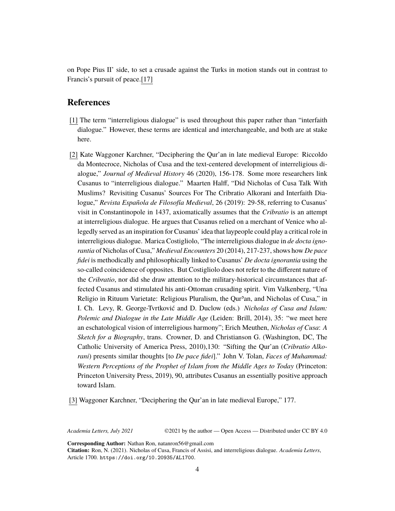on Pope Pius II' side, to set a crusade against the Turks in motion stands out in contrast to Francis's pursuit of peace.[17]

## **References**

- [1] The term "interreligious dialogue" is used throughout this paper rather than "interfaith dialogue." However, these terms are identical and interchangeable, and both are at stake here.
- [2] Kate Waggoner Karchner, "Deciphering the Qur'an in late medieval Europe: Riccoldo da Montecroce, Nicholas of Cusa and the text-centered development of interreligious dialogue," *Journal of Medieval History* 46 (2020), 156-178. Some more researchers link Cusanus to "interreligious dialogue." Maarten Halff, "Did Nicholas of Cusa Talk With Muslims? Revisiting Cusanus' Sources For The Cribratio Alkorani and Interfaith Dialogue," *Revista Española de Filosofía Medieval*, 26 (2019): 29-58, referring to Cusanus' visit in Constantinopole in 1437, axiomatically assumes that the *Cribratio* is an attempt at interreligious dialogue. He argues that Cusanus relied on a merchant of Venice who allegedly served as an inspiration for Cusanus' idea that laypeople could play a critical role in interreligious dialogue. Marica Costigliolo, "The interreligious dialogue in *de docta ignorantia* of Nicholas of Cusa," *Medieval Encounters* 20 (2014), 217-237, shows how *De pace fidei* is methodically and philosophically linked to Cusanus' *De docta ignorantia* using the so-called coincidence of opposites. But Costigliolo does not refer to the different nature of the *Cribratio*, nor did she draw attention to the military-historical circumstances that affected Cusanus and stimulated his anti-Ottoman crusading spirit. Vim Valkenberg, "Una Religio in Rituum Varietate: Religious Pluralism, the Qur<sup>3</sup>an, and Nicholas of Cusa," in I. Ch. Levy, R. George-Tvrtković and D. Duclow (eds.) *Nicholas of Cusa and Islam: Polemic and Dialogue in the Late Middle Age* (Leiden: Brill, 2014), 35: "we meet here an eschatological vision of interreligious harmony"; Erich Meuthen, *Nicholas of Cusa*: *A Sketch for a Biography*, trans. Crowner, D. and Christianson G. (Washington, DC, The Catholic University of America Press, 2010),130: "Sifting the Qur'an (*Cribratio Alkorani*) presents similar thoughts [to *De pace fidei*]." John V. Tolan, *Faces of Muhammad: Western Perceptions of the Prophet of Islam from the Middle Ages to Today* (Princeton: Princeton University Press, 2019), 90, attributes Cusanus an essentially positive approach toward Islam.

[3] Waggoner Karchner, "Deciphering the Qur'an in late medieval Europe," 177.

*Academia Letters, July 2021* ©2021 by the author — Open Access — Distributed under CC BY 4.0

**Corresponding Author:** Nathan Ron, natanron56@gmail.com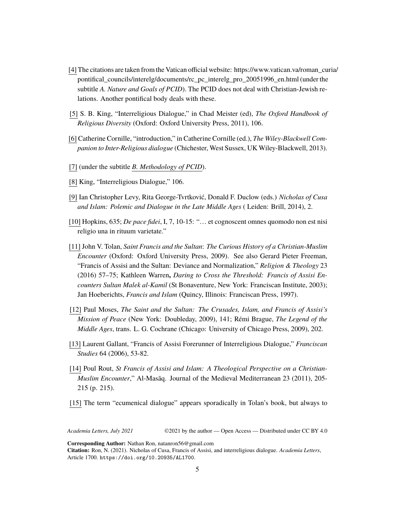- [4] The citations are taken from the Vatican official website: [https://www.vatican.va/roman\\_curia/](https://www.vatican.va/roman_curia/pontifical_councils/interelg/documents/rc_pc_interelg_pro_20051996_en.html) [pontifical\\_councils/interelg/documents/rc\\_pc\\_interelg\\_pro\\_20051996\\_en.html](https://www.vatican.va/roman_curia/pontifical_councils/interelg/documents/rc_pc_interelg_pro_20051996_en.html) (under the subtitle *A. Nature and Goals of PCID*). The PCID does not deal with Christian-Jewish relations. Another pontifical body deals with these.
- [5] S. B. King, "Interreligious Dialogue," in Chad Meister (ed), *The Oxford Handbook of Religious Diversity* (Oxford: Oxford University Press, 2011), 106.
- [6] Catherine Cornille, "introduction," in Catherine Cornille (ed.), *The Wiley-Blackwell Companion to Inter-Religious dialogue* (Chichester, West Sussex, UK Wiley-Blackwell, 2013).
- [7] (under the subtitle *B. [Methodology](https://www.vatican.va/roman_curia/pontifical_councils/interelg/documents/rc_pc_interelg_pro_20051996_en.html) of PCID*).
- [8] King, "Interreligious Dialogue," 106.
- [9] Ian Christopher Levy, Rita George-Tvrtković, Donald F. Duclow (eds.) *Nicholas of Cusa and Islam: Polemic and Dialogue in the Late Middle Ages* ( Leiden: Brill, 2014), 2.
- [10] Hopkins, 635; *De pace fidei*, I, 7, 10-15: "… et cognoscent omnes quomodo non est nisi religio una in rituum varietate."
- [11] John V. Tolan, *Saint Francis and the Sultan*: *The Curious History of a Christian-Muslim Encounter* (Oxford: Oxford University Press, 2009). See also Gerard Pieter Freeman, "Francis of Assisi and the Sultan: Deviance and Normalization," *Religion & Theology* 23 (2016) 57–75; Kathleen Warren**,** *Daring to Cross the Threshold: Francis of Assisi Encounters Sultan Malek al-Kamil* (St Bonaventure, New York: Franciscan Institute, 2003); Jan Hoeberichts, *Francis and Islam* (Quincy, Illinois: Franciscan Press, 1997).
- [12] Paul Moses, *The Saint and the Sultan: The Crusades, Islam, and Francis of Assisi's Mission of Peace* (New York: Doubleday, 2009), 141; Rémi Brague, *The Legend of the Middle Ages*, trans. L. G. Cochrane (Chicago: University of Chicago Press, 2009), 202.
- [13] Laurent Gallant, "Francis of Assisi Forerunner of Interreligious Dialogue," *Franciscan Studies* 64 (2006), 53-82.
- [14] Poul Rout, *St Francis of Assisi and Islam: A Theological Perspective on a Christian-Muslim Encounter*," Al-Masāq. Journal of the Medieval Mediterranean 23 (2011), 205- 215 (p. 215).
- [15] The term "ecumenical dialogue" appears sporadically in Tolan's book, but always to

*Academia Letters, July 2021* ©2021 by the author — Open Access — Distributed under CC BY 4.0

**Corresponding Author:** Nathan Ron, natanron56@gmail.com